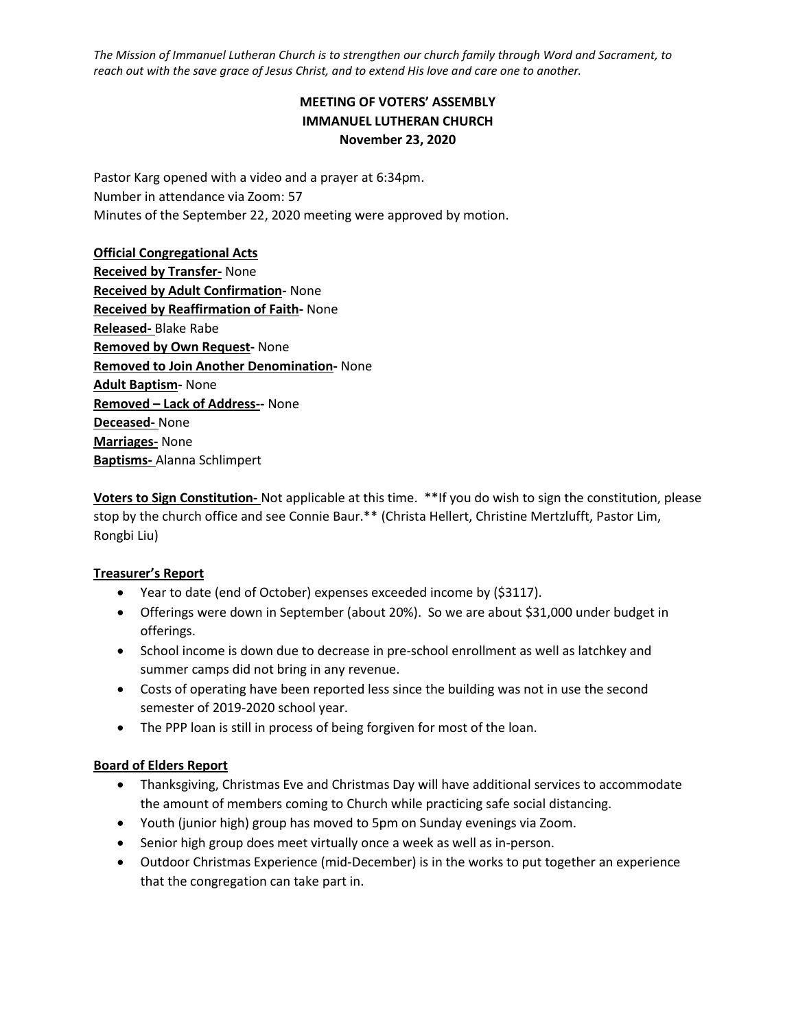*The Mission of Immanuel Lutheran Church is to strengthen our church family through Word and Sacrament, to reach out with the save grace of Jesus Christ, and to extend His love and care one to another.*

# **MEETING OF VOTERS' ASSEMBLY IMMANUEL LUTHERAN CHURCH November 23, 2020**

Pastor Karg opened with a video and a prayer at 6:34pm. Number in attendance via Zoom: 57 Minutes of the September 22, 2020 meeting were approved by motion.

**Official Congregational Acts Received by Transfer-** None **Received by Adult Confirmation-** None **Received by Reaffirmation of Faith-** None **Released-** Blake Rabe **Removed by Own Request-** None **Removed to Join Another Denomination-** None **Adult Baptism-** None **Removed – Lack of Address--** None **Deceased-** None **Marriages-** None **Baptisms-** Alanna Schlimpert

**Voters to Sign Constitution-** Not applicable at this time. \*\*If you do wish to sign the constitution, please stop by the church office and see Connie Baur.\*\* (Christa Hellert, Christine Mertzlufft, Pastor Lim, Rongbi Liu)

#### **Treasurer's Report**

- Year to date (end of October) expenses exceeded income by (\$3117).
- Offerings were down in September (about 20%). So we are about \$31,000 under budget in offerings.
- School income is down due to decrease in pre-school enrollment as well as latchkey and summer camps did not bring in any revenue.
- Costs of operating have been reported less since the building was not in use the second semester of 2019-2020 school year.
- The PPP loan is still in process of being forgiven for most of the loan.

#### **Board of Elders Report**

- Thanksgiving, Christmas Eve and Christmas Day will have additional services to accommodate the amount of members coming to Church while practicing safe social distancing.
- Youth (junior high) group has moved to 5pm on Sunday evenings via Zoom.
- Senior high group does meet virtually once a week as well as in-person.
- Outdoor Christmas Experience (mid-December) is in the works to put together an experience that the congregation can take part in.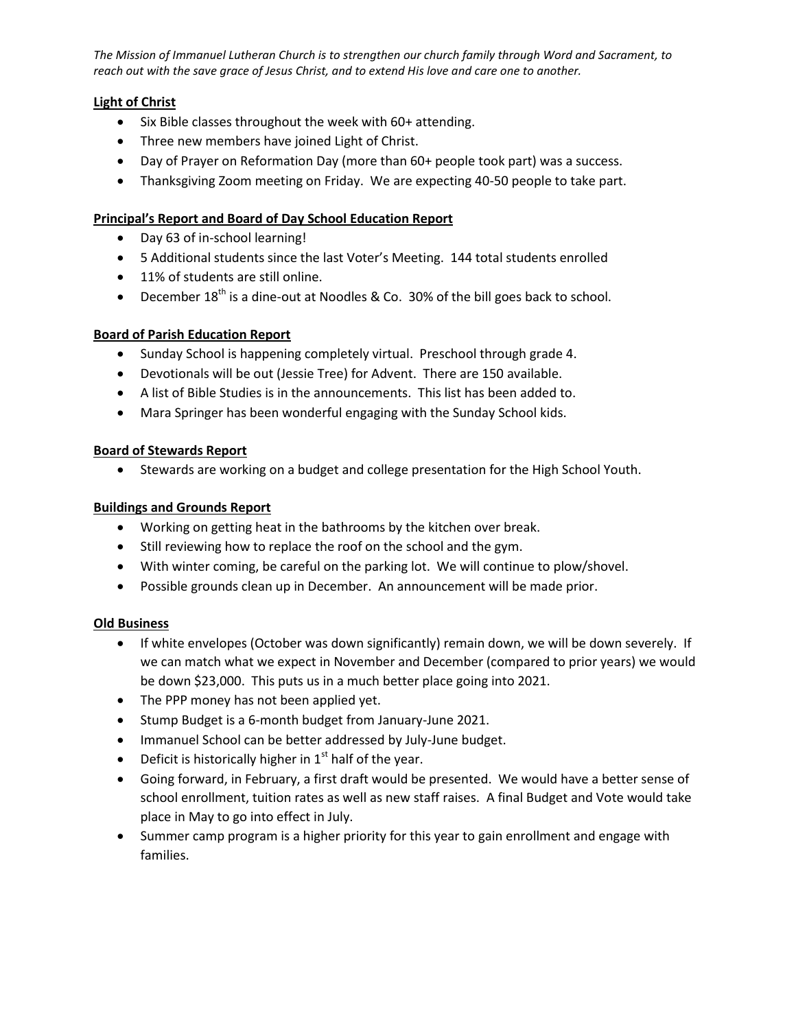*The Mission of Immanuel Lutheran Church is to strengthen our church family through Word and Sacrament, to reach out with the save grace of Jesus Christ, and to extend His love and care one to another.*

## **Light of Christ**

- Six Bible classes throughout the week with 60+ attending.
- Three new members have joined Light of Christ.
- Day of Prayer on Reformation Day (more than 60+ people took part) was a success.
- Thanksgiving Zoom meeting on Friday. We are expecting 40-50 people to take part.

## **Principal's Report and Board of Day School Education Report**

- Day 63 of in-school learning!
- 5 Additional students since the last Voter's Meeting. 144 total students enrolled
- 11% of students are still online.
- **•** December  $18^{th}$  is a dine-out at Noodles & Co. 30% of the bill goes back to school.

## **Board of Parish Education Report**

- Sunday School is happening completely virtual. Preschool through grade 4.
- Devotionals will be out (Jessie Tree) for Advent. There are 150 available.
- A list of Bible Studies is in the announcements. This list has been added to.
- Mara Springer has been wonderful engaging with the Sunday School kids.

#### **Board of Stewards Report**

Stewards are working on a budget and college presentation for the High School Youth.

## **Buildings and Grounds Report**

- Working on getting heat in the bathrooms by the kitchen over break.
- Still reviewing how to replace the roof on the school and the gym.
- With winter coming, be careful on the parking lot. We will continue to plow/shovel.
- Possible grounds clean up in December. An announcement will be made prior.

#### **Old Business**

- If white envelopes (October was down significantly) remain down, we will be down severely. If we can match what we expect in November and December (compared to prior years) we would be down \$23,000. This puts us in a much better place going into 2021.
- The PPP money has not been applied yet.
- Stump Budget is a 6-month budget from January-June 2021.
- Immanuel School can be better addressed by July-June budget.
- **•** Deficit is historically higher in  $1<sup>st</sup>$  half of the year.
- Going forward, in February, a first draft would be presented. We would have a better sense of school enrollment, tuition rates as well as new staff raises. A final Budget and Vote would take place in May to go into effect in July.
- Summer camp program is a higher priority for this year to gain enrollment and engage with families.